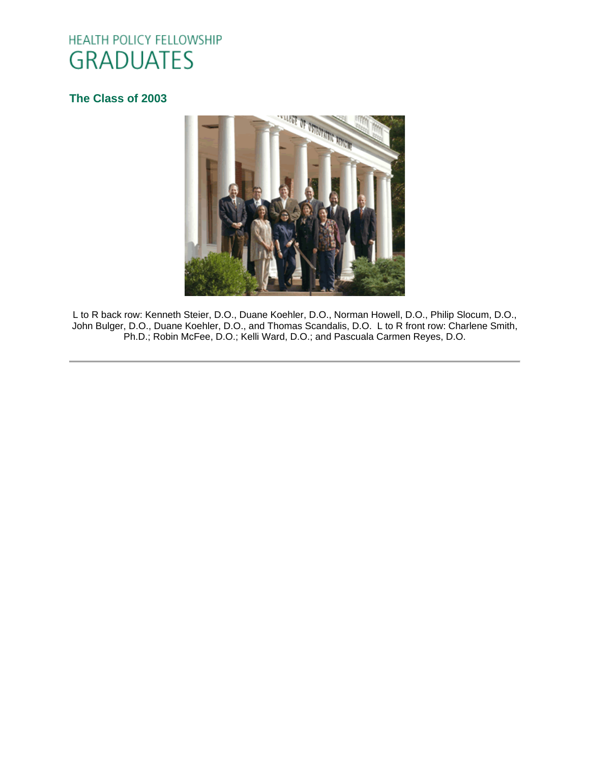# HEALTH POLICY FELLOWSHIP **GRADUATES**

## **[The Class of 2003](http://www.oucom.ohiou.edu/hpf/Graduates2010.htm)**



L to R back row: Kenneth Steier, D.O., Duane Koehler, D.O., Norman Howell, D.O., Philip Slocum, D.O., John Bulger, D.O., Duane Koehler, D.O., and Thomas Scandalis, D.O. L to R front row: Charlene Smith, Ph.D.; Robin McFee, D.O.; Kelli Ward, D.O.; and Pascuala Carmen Reyes, D.O.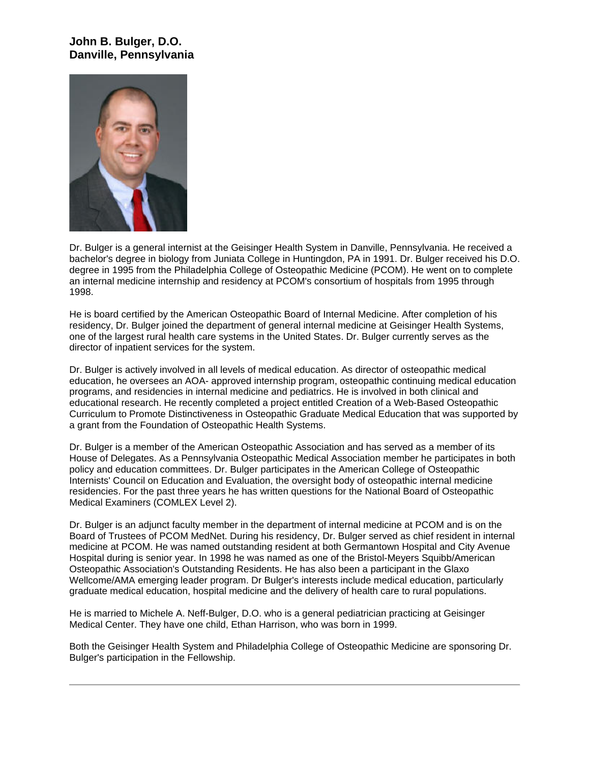## **John B. Bulger, D.O. Danville, Pennsylvania**



Dr. Bulger is a general internist at the Geisinger Health System in Danville, Pennsylvania. He received a bachelor's degree in biology from Juniata College in Huntingdon, PA in 1991. Dr. Bulger received his D.O. degree in 1995 from the Philadelphia College of Osteopathic Medicine (PCOM). He went on to complete an internal medicine internship and residency at PCOM's consortium of hospitals from 1995 through 1998.

He is board certified by the American Osteopathic Board of Internal Medicine. After completion of his residency, Dr. Bulger joined the department of general internal medicine at Geisinger Health Systems, one of the largest rural health care systems in the United States. Dr. Bulger currently serves as the director of inpatient services for the system.

Dr. Bulger is actively involved in all levels of medical education. As director of osteopathic medical education, he oversees an AOA- approved internship program, osteopathic continuing medical education programs, and residencies in internal medicine and pediatrics. He is involved in both clinical and educational research. He recently completed a project entitled Creation of a Web-Based Osteopathic Curriculum to Promote Distinctiveness in Osteopathic Graduate Medical Education that was supported by a grant from the Foundation of Osteopathic Health Systems.

Dr. Bulger is a member of the American Osteopathic Association and has served as a member of its House of Delegates. As a Pennsylvania Osteopathic Medical Association member he participates in both policy and education committees. Dr. Bulger participates in the American College of Osteopathic Internists' Council on Education and Evaluation, the oversight body of osteopathic internal medicine residencies. For the past three years he has written questions for the National Board of Osteopathic Medical Examiners (COMLEX Level 2).

Dr. Bulger is an adjunct faculty member in the department of internal medicine at PCOM and is on the Board of Trustees of PCOM MedNet. During his residency, Dr. Bulger served as chief resident in internal medicine at PCOM. He was named outstanding resident at both Germantown Hospital and City Avenue Hospital during is senior year. In 1998 he was named as one of the Bristol-Meyers Squibb/American Osteopathic Association's Outstanding Residents. He has also been a participant in the Glaxo Wellcome/AMA emerging leader program. Dr Bulger's interests include medical education, particularly graduate medical education, hospital medicine and the delivery of health care to rural populations.

He is married to Michele A. Neff-Bulger, D.O. who is a general pediatrician practicing at Geisinger Medical Center. They have one child, Ethan Harrison, who was born in 1999.

Both the Geisinger Health System and Philadelphia College of Osteopathic Medicine are sponsoring Dr. Bulger's participation in the Fellowship.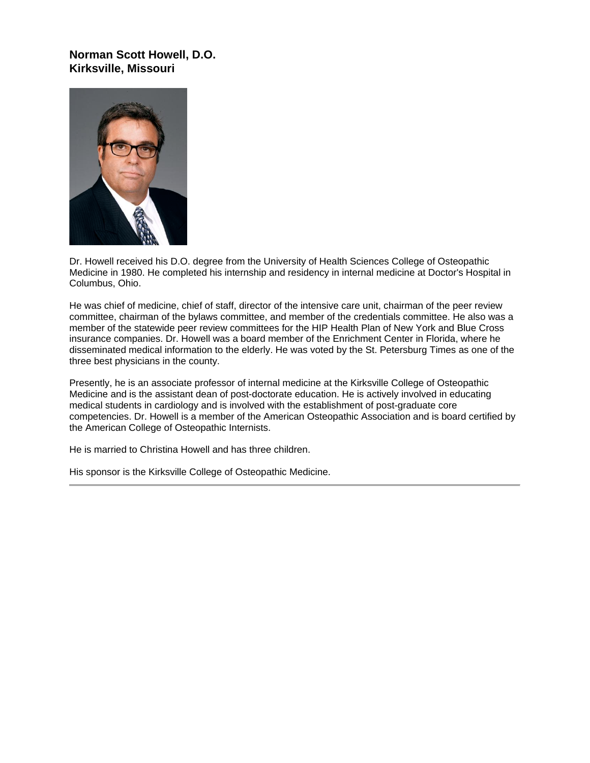#### **Norman Scott Howell, D.O. Kirksville, Missouri**



Dr. Howell received his D.O. degree from the University of Health Sciences College of Osteopathic Medicine in 1980. He completed his internship and residency in internal medicine at Doctor's Hospital in Columbus, Ohio.

He was chief of medicine, chief of staff, director of the intensive care unit, chairman of the peer review committee, chairman of the bylaws committee, and member of the credentials committee. He also was a member of the statewide peer review committees for the HIP Health Plan of New York and Blue Cross insurance companies. Dr. Howell was a board member of the Enrichment Center in Florida, where he disseminated medical information to the elderly. He was voted by the St. Petersburg Times as one of the three best physicians in the county.

Presently, he is an associate professor of internal medicine at the Kirksville College of Osteopathic Medicine and is the assistant dean of post-doctorate education. He is actively involved in educating medical students in cardiology and is involved with the establishment of post-graduate core competencies. Dr. Howell is a member of the American Osteopathic Association and is board certified by the American College of Osteopathic Internists.

He is married to Christina Howell and has three children.

His sponsor is the Kirksville College of Osteopathic Medicine.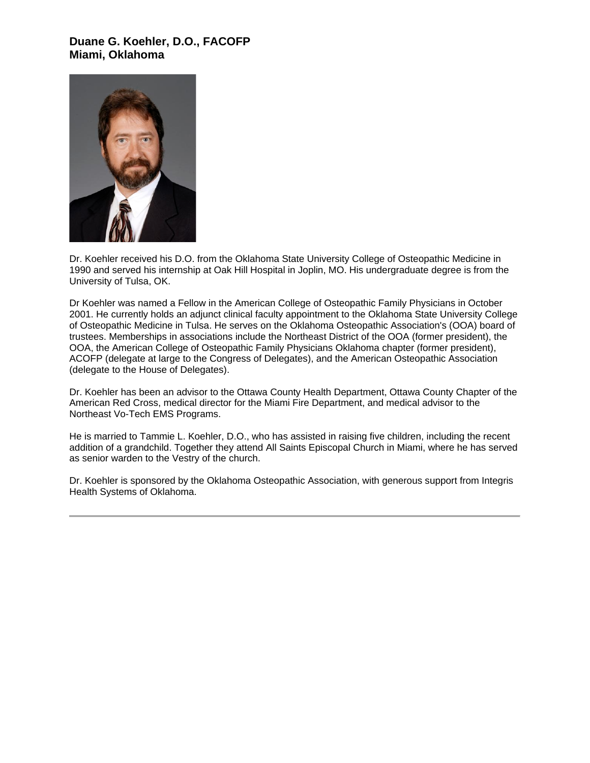#### **Duane G. Koehler, D.O., FACOFP Miami, Oklahoma**



Dr. Koehler received his D.O. from the Oklahoma State University College of Osteopathic Medicine in 1990 and served his internship at Oak Hill Hospital in Joplin, MO. His undergraduate degree is from the University of Tulsa, OK.

Dr Koehler was named a Fellow in the American College of Osteopathic Family Physicians in October 2001. He currently holds an adjunct clinical faculty appointment to the Oklahoma State University College of Osteopathic Medicine in Tulsa. He serves on the Oklahoma Osteopathic Association's (OOA) board of trustees. Memberships in associations include the Northeast District of the OOA (former president), the OOA, the American College of Osteopathic Family Physicians Oklahoma chapter (former president), ACOFP (delegate at large to the Congress of Delegates), and the American Osteopathic Association (delegate to the House of Delegates).

Dr. Koehler has been an advisor to the Ottawa County Health Department, Ottawa County Chapter of the American Red Cross, medical director for the Miami Fire Department, and medical advisor to the Northeast Vo-Tech EMS Programs.

He is married to Tammie L. Koehler, D.O., who has assisted in raising five children, including the recent addition of a grandchild. Together they attend All Saints Episcopal Church in Miami, where he has served as senior warden to the Vestry of the church.

Dr. Koehler is sponsored by the Oklahoma Osteopathic Association, with generous support from Integris Health Systems of Oklahoma.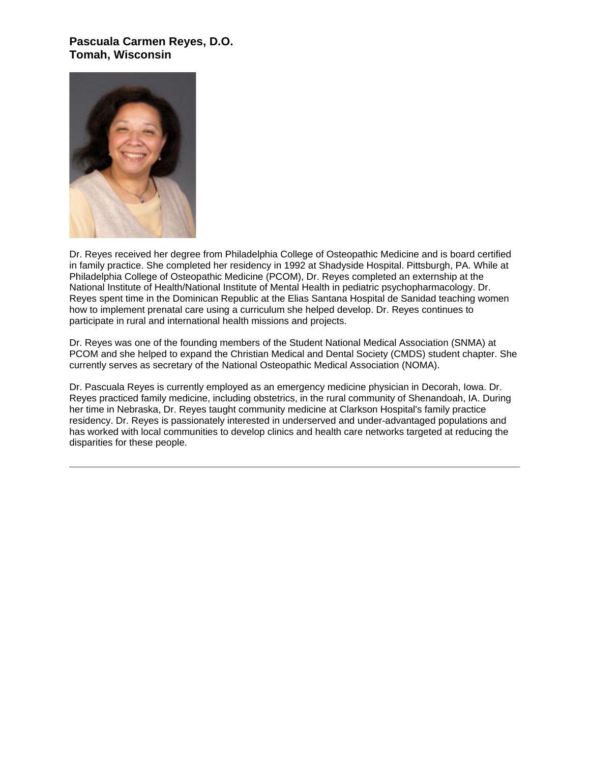#### **Pascuala Carmen Reyes, D.O. Tomah, Wisconsin**



Dr. Reyes received her degree from Philadelphia College of Osteopathic Medicine and is board certified in family practice. She completed her residency in 1992 at Shadyside Hospital. Pittsburgh, PA. While at Philadelphia College of Osteopathic Medicine (PCOM), Dr. Reyes completed an externship at the National Institute of Health/National Institute of Mental Health in pediatric psychopharmacology. Dr. Reyes spent time in the Dominican Republic at the Elias Santana Hospital de Sanidad teaching women how to implement prenatal care using a curriculum she helped develop. Dr. Reyes continues to participate in rural and international health missions and projects.

Dr. Reyes was one of the founding members of the Student National Medical Association (SNMA) at PCOM and she helped to expand the Christian Medical and Dental Society (CMDS) student chapter. She currently serves as secretary of the National Osteopathic Medical Association (NOMA).

Dr. Pascuala Reyes is currently employed as an emergency medicine physician in Decorah, Iowa. Dr. Reyes practiced family medicine, including obstetrics, in the rural community of Shenandoah, IA. During her time in Nebraska, Dr. Reyes taught community medicine at Clarkson Hospital's family practice residency. Dr. Reyes is passionately interested in underserved and under-advantaged populations and has worked with local communities to develop clinics and health care networks targeted at reducing the disparities for these people.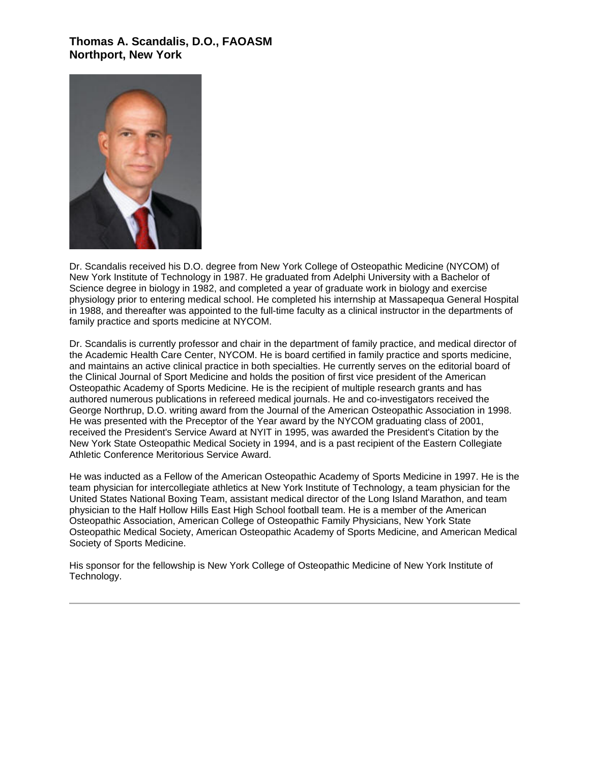#### **Thomas A. Scandalis, D.O., FAOASM Northport, New York**



Dr. Scandalis received his D.O. degree from New York College of Osteopathic Medicine (NYCOM) of New York Institute of Technology in 1987. He graduated from Adelphi University with a Bachelor of Science degree in biology in 1982, and completed a year of graduate work in biology and exercise physiology prior to entering medical school. He completed his internship at Massapequa General Hospital in 1988, and thereafter was appointed to the full-time faculty as a clinical instructor in the departments of family practice and sports medicine at NYCOM.

Dr. Scandalis is currently professor and chair in the department of family practice, and medical director of the Academic Health Care Center, NYCOM. He is board certified in family practice and sports medicine, and maintains an active clinical practice in both specialties. He currently serves on the editorial board of the Clinical Journal of Sport Medicine and holds the position of first vice president of the American Osteopathic Academy of Sports Medicine. He is the recipient of multiple research grants and has authored numerous publications in refereed medical journals. He and co-investigators received the George Northrup, D.O. writing award from the Journal of the American Osteopathic Association in 1998. He was presented with the Preceptor of the Year award by the NYCOM graduating class of 2001, received the President's Service Award at NYIT in 1995, was awarded the President's Citation by the New York State Osteopathic Medical Society in 1994, and is a past recipient of the Eastern Collegiate Athletic Conference Meritorious Service Award.

He was inducted as a Fellow of the American Osteopathic Academy of Sports Medicine in 1997. He is the team physician for intercollegiate athletics at New York Institute of Technology, a team physician for the United States National Boxing Team, assistant medical director of the Long Island Marathon, and team physician to the Half Hollow Hills East High School football team. He is a member of the American Osteopathic Association, American College of Osteopathic Family Physicians, New York State Osteopathic Medical Society, American Osteopathic Academy of Sports Medicine, and American Medical Society of Sports Medicine.

His sponsor for the fellowship is New York College of Osteopathic Medicine of New York Institute of Technology.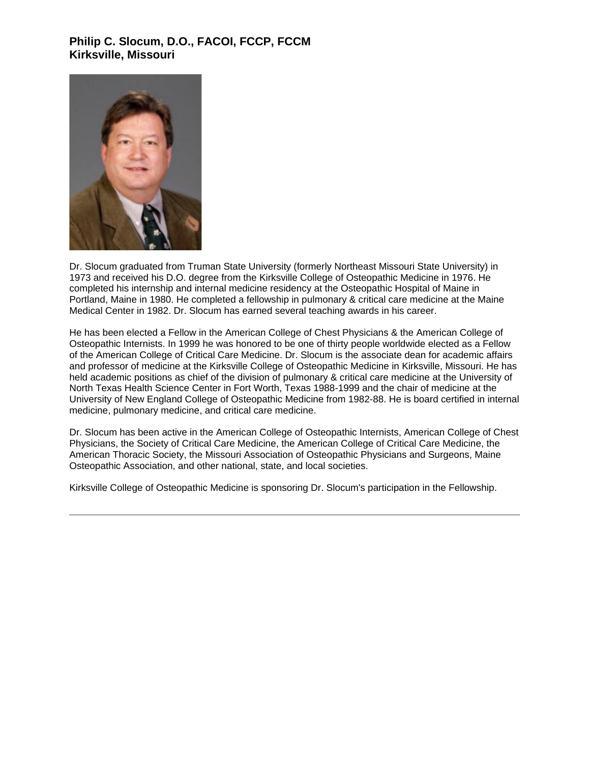## **Philip C. Slocum, D.O., FACOI, FCCP, FCCM Kirksville, Missouri**



Dr. Slocum graduated from Truman State University (formerly Northeast Missouri State University) in 1973 and received his D.O. degree from the Kirksville College of Osteopathic Medicine in 1976. He completed his internship and internal medicine residency at the Osteopathic Hospital of Maine in Portland, Maine in 1980. He completed a fellowship in pulmonary & critical care medicine at the Maine Medical Center in 1982. Dr. Slocum has earned several teaching awards in his career.

He has been elected a Fellow in the American College of Chest Physicians & the American College of Osteopathic Internists. In 1999 he was honored to be one of thirty people worldwide elected as a Fellow of the American College of Critical Care Medicine. Dr. Slocum is the associate dean for academic affairs and professor of medicine at the Kirksville College of Osteopathic Medicine in Kirksville, Missouri. He has held academic positions as chief of the division of pulmonary & critical care medicine at the University of North Texas Health Science Center in Fort Worth, Texas 1988-1999 and the chair of medicine at the University of New England College of Osteopathic Medicine from 1982-88. He is board certified in internal medicine, pulmonary medicine, and critical care medicine.

Dr. Slocum has been active in the American College of Osteopathic Internists, American College of Chest Physicians, the Society of Critical Care Medicine, the American College of Critical Care Medicine, the American Thoracic Society, the Missouri Association of Osteopathic Physicians and Surgeons, Maine Osteopathic Association, and other national, state, and local societies.

Kirksville College of Osteopathic Medicine is sponsoring Dr. Slocum's participation in the Fellowship.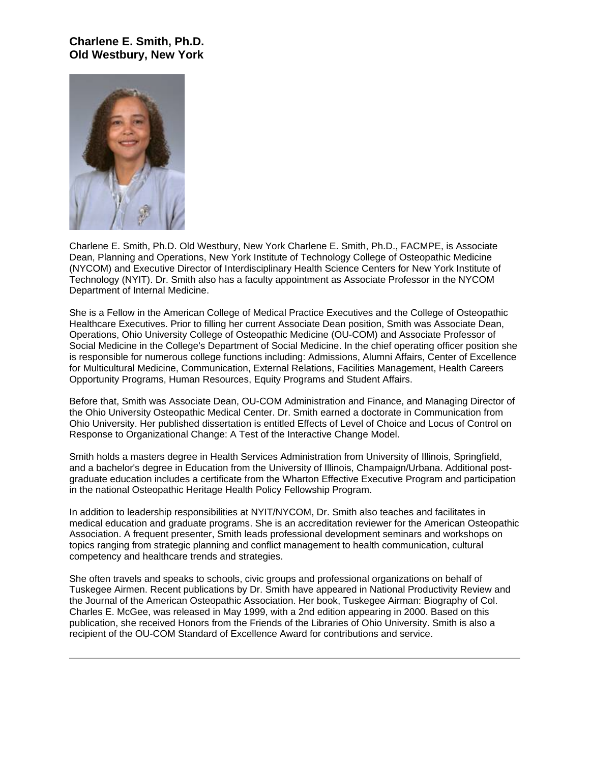#### **Charlene E. Smith, Ph.D. Old Westbury, New York**



Charlene E. Smith, Ph.D. Old Westbury, New York Charlene E. Smith, Ph.D., FACMPE, is Associate Dean, Planning and Operations, New York Institute of Technology College of Osteopathic Medicine (NYCOM) and Executive Director of Interdisciplinary Health Science Centers for New York Institute of Technology (NYIT). Dr. Smith also has a faculty appointment as Associate Professor in the NYCOM Department of Internal Medicine.

She is a Fellow in the American College of Medical Practice Executives and the College of Osteopathic Healthcare Executives. Prior to filling her current Associate Dean position, Smith was Associate Dean, Operations, Ohio University College of Osteopathic Medicine (OU-COM) and Associate Professor of Social Medicine in the College's Department of Social Medicine. In the chief operating officer position she is responsible for numerous college functions including: Admissions, Alumni Affairs, Center of Excellence for Multicultural Medicine, Communication, External Relations, Facilities Management, Health Careers Opportunity Programs, Human Resources, Equity Programs and Student Affairs.

Before that, Smith was Associate Dean, OU-COM Administration and Finance, and Managing Director of the Ohio University Osteopathic Medical Center. Dr. Smith earned a doctorate in Communication from Ohio University. Her published dissertation is entitled Effects of Level of Choice and Locus of Control on Response to Organizational Change: A Test of the Interactive Change Model.

Smith holds a masters degree in Health Services Administration from University of Illinois, Springfield, and a bachelor's degree in Education from the University of Illinois, Champaign/Urbana. Additional postgraduate education includes a certificate from the Wharton Effective Executive Program and participation in the national Osteopathic Heritage Health Policy Fellowship Program.

In addition to leadership responsibilities at NYIT/NYCOM, Dr. Smith also teaches and facilitates in medical education and graduate programs. She is an accreditation reviewer for the American Osteopathic Association. A frequent presenter, Smith leads professional development seminars and workshops on topics ranging from strategic planning and conflict management to health communication, cultural competency and healthcare trends and strategies.

She often travels and speaks to schools, civic groups and professional organizations on behalf of Tuskegee Airmen. Recent publications by Dr. Smith have appeared in National Productivity Review and the Journal of the American Osteopathic Association. Her book, Tuskegee Airman: Biography of Col. Charles E. McGee, was released in May 1999, with a 2nd edition appearing in 2000. Based on this publication, she received Honors from the Friends of the Libraries of Ohio University. Smith is also a recipient of the OU-COM Standard of Excellence Award for contributions and service.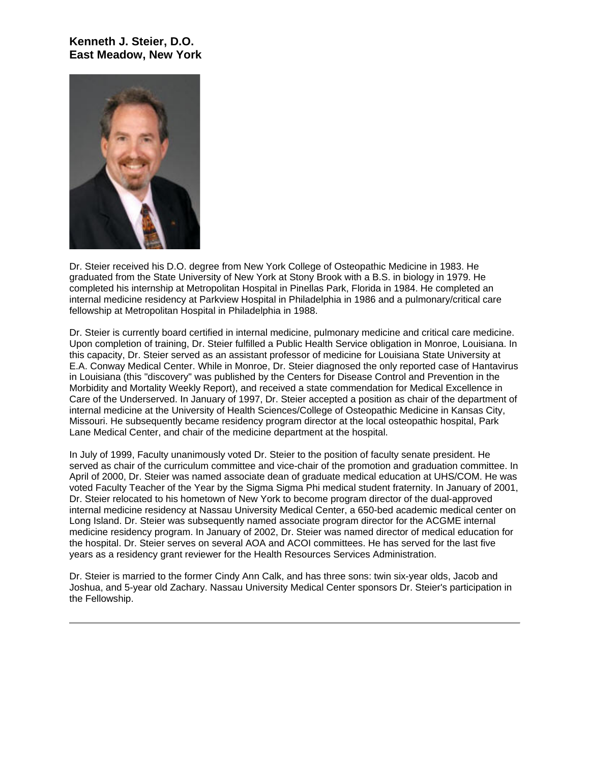### **Kenneth J. Steier, D.O. East Meadow, New York**



Dr. Steier received his D.O. degree from New York College of Osteopathic Medicine in 1983. He graduated from the State University of New York at Stony Brook with a B.S. in biology in 1979. He completed his internship at Metropolitan Hospital in Pinellas Park, Florida in 1984. He completed an internal medicine residency at Parkview Hospital in Philadelphia in 1986 and a pulmonary/critical care fellowship at Metropolitan Hospital in Philadelphia in 1988.

Dr. Steier is currently board certified in internal medicine, pulmonary medicine and critical care medicine. Upon completion of training, Dr. Steier fulfilled a Public Health Service obligation in Monroe, Louisiana. In this capacity, Dr. Steier served as an assistant professor of medicine for Louisiana State University at E.A. Conway Medical Center. While in Monroe, Dr. Steier diagnosed the only reported case of Hantavirus in Louisiana (this "discovery" was published by the Centers for Disease Control and Prevention in the Morbidity and Mortality Weekly Report), and received a state commendation for Medical Excellence in Care of the Underserved. In January of 1997, Dr. Steier accepted a position as chair of the department of internal medicine at the University of Health Sciences/College of Osteopathic Medicine in Kansas City, Missouri. He subsequently became residency program director at the local osteopathic hospital, Park Lane Medical Center, and chair of the medicine department at the hospital.

In July of 1999, Faculty unanimously voted Dr. Steier to the position of faculty senate president. He served as chair of the curriculum committee and vice-chair of the promotion and graduation committee. In April of 2000, Dr. Steier was named associate dean of graduate medical education at UHS/COM. He was voted Faculty Teacher of the Year by the Sigma Sigma Phi medical student fraternity. In January of 2001, Dr. Steier relocated to his hometown of New York to become program director of the dual-approved internal medicine residency at Nassau University Medical Center, a 650-bed academic medical center on Long Island. Dr. Steier was subsequently named associate program director for the ACGME internal medicine residency program. In January of 2002, Dr. Steier was named director of medical education for the hospital. Dr. Steier serves on several AOA and ACOI committees. He has served for the last five years as a residency grant reviewer for the Health Resources Services Administration.

Dr. Steier is married to the former Cindy Ann Calk, and has three sons: twin six-year olds, Jacob and Joshua, and 5-year old Zachary. Nassau University Medical Center sponsors Dr. Steier's participation in the Fellowship.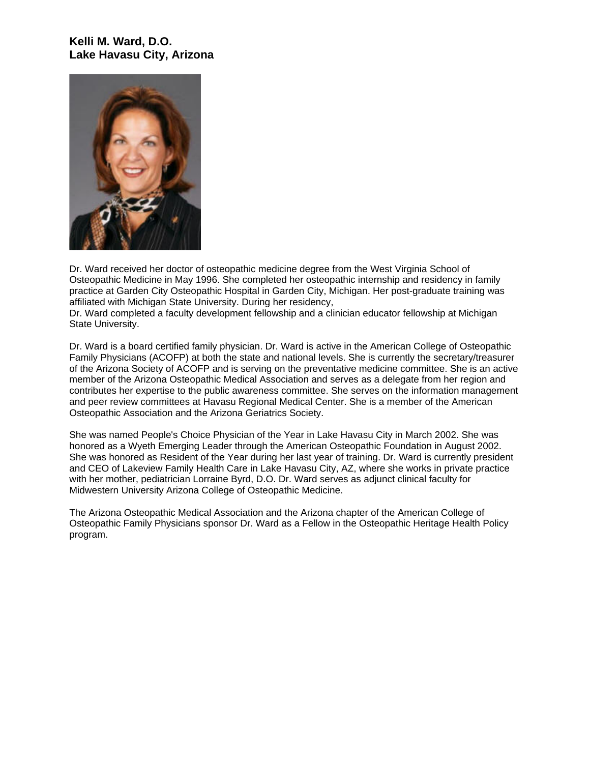## **Kelli M. Ward, D.O. Lake Havasu City, Arizona**



Dr. Ward received her doctor of osteopathic medicine degree from the West Virginia School of Osteopathic Medicine in May 1996. She completed her osteopathic internship and residency in family practice at Garden City Osteopathic Hospital in Garden City, Michigan. Her post-graduate training was affiliated with Michigan State University. During her residency,

Dr. Ward completed a faculty development fellowship and a clinician educator fellowship at Michigan State University.

Dr. Ward is a board certified family physician. Dr. Ward is active in the American College of Osteopathic Family Physicians (ACOFP) at both the state and national levels. She is currently the secretary/treasurer of the Arizona Society of ACOFP and is serving on the preventative medicine committee. She is an active member of the Arizona Osteopathic Medical Association and serves as a delegate from her region and contributes her expertise to the public awareness committee. She serves on the information management and peer review committees at Havasu Regional Medical Center. She is a member of the American Osteopathic Association and the Arizona Geriatrics Society.

She was named People's Choice Physician of the Year in Lake Havasu City in March 2002. She was honored as a Wyeth Emerging Leader through the American Osteopathic Foundation in August 2002. She was honored as Resident of the Year during her last year of training. Dr. Ward is currently president and CEO of Lakeview Family Health Care in Lake Havasu City, AZ, where she works in private practice with her mother, pediatrician Lorraine Byrd, D.O. Dr. Ward serves as adjunct clinical faculty for Midwestern University Arizona College of Osteopathic Medicine.

The Arizona Osteopathic Medical Association and the Arizona chapter of the American College of Osteopathic Family Physicians sponsor Dr. Ward as a Fellow in the Osteopathic Heritage Health Policy program.